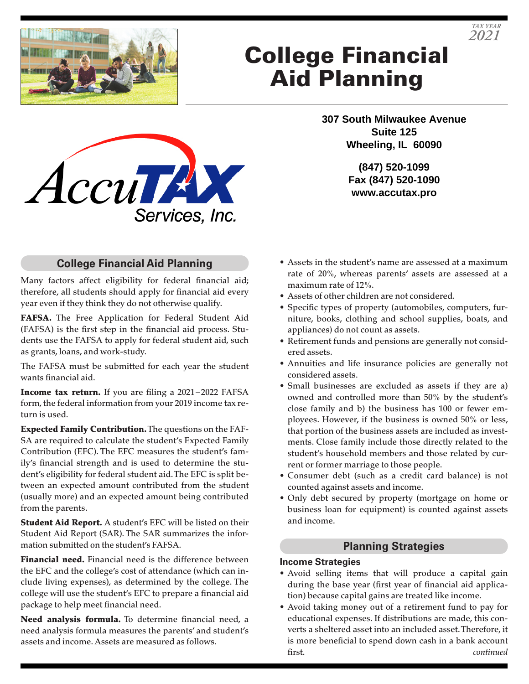

# College Financial Aid Planning

**307 South Milwaukee Avenue Suite 125 Wheeling, IL 60090**

> **(847) 520-1099 Fax (847) 520-1090 www.accutax.pro**

### **College Financial Aid Planning**

Services, Inc.

AccuTAX

Many factors affect eligibility for federal financial aid; therefore, all students should apply for financial aid every year even if they think they do not otherwise qualify.

FAFSA. The Free Application for Federal Student Aid (FAFSA) is the first step in the financial aid process. Students use the FAFSA to apply for federal student aid, such as grants, loans, and work-study.

The FAFSA must be submitted for each year the student wants financial aid.

Income tax return. If you are filing a 2021-2022 FAFSA form, the federal information from your 2019 income tax return is used.

Expected Family Contribution. The questions on the FAF-SA are required to calculate the student's Expected Family Contribution (EFC). The EFC measures the student's family's financial strength and is used to determine the student's eligibility for federal student aid. The EFC is split between an expected amount contributed from the student (usually more) and an expected amount being contributed from the parents.

Student Aid Report. A student's EFC will be listed on their Student Aid Report (SAR). The SAR summarizes the information submitted on the student's FAFSA.

Financial need. Financial need is the difference between the EFC and the college's cost of attendance (which can include living expenses), as determined by the college. The college will use the student's EFC to prepare a financial aid package to help meet financial need.

Need analysis formula. To determine financial need, a need analysis formula measures the parents' and student's assets and income. Assets are measured as follows.

- Assets in the student's name are assessed at a maximum rate of 20%, whereas parents' assets are assessed at a maximum rate of 12%.
- Assets of other children are not considered.
- Specific types of property (automobiles, computers, furniture, books, clothing and school supplies, boats, and appliances) do not count as assets.
- Retirement funds and pensions are generally not considered assets.
- Annuities and life insurance policies are generally not considered assets.
- Small businesses are excluded as assets if they are a) owned and controlled more than 50% by the student's close family and b) the business has 100 or fewer employees. However, if the business is owned 50% or less, that portion of the business assets are included as investments. Close family include those directly related to the student's household members and those related by current or former marriage to those people.
- Consumer debt (such as a credit card balance) is not counted against assets and income.
- Only debt secured by property (mortgage on home or business loan for equipment) is counted against assets and income.

#### **Planning Strategies**

#### **Income Strategies**

- Avoid selling items that will produce a capital gain during the base year (first year of financial aid application) because capital gains are treated like income.
- Avoid taking money out of a retirement fund to pay for educational expenses. If distributions are made, this converts a sheltered asset into an included asset. Therefore, it is more beneficial to spend down cash in a bank account first. *continued*



*TAX YEAR*